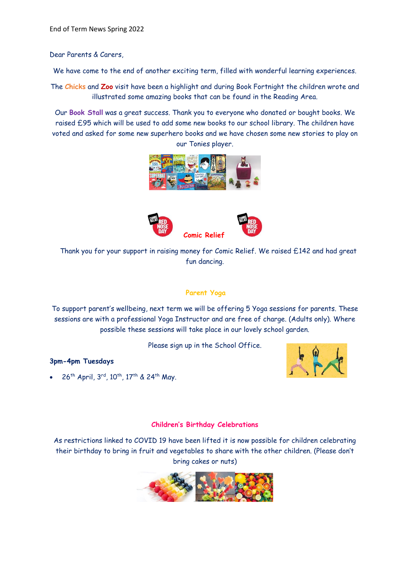Dear Parents & Carers,

We have come to the end of another exciting term, filled with wonderful learning experiences.

The **Chicks** and **Zoo** visit have been a highlight and during Book Fortnight the children wrote and illustrated some amazing books that can be found in the Reading Area.

Our **Book Stall** was a great success. Thank you to everyone who donated or bought books. We raised £95 which will be used to add some new books to our school library. The children have voted and asked for some new superhero books and we have chosen some new stories to play on our Tonies player.





 Thank you for your support in raising money for Comic Relief. We raised £142 and had great fun dancing.

## **Parent Yoga**

To support parent's wellbeing, next term we will be offering 5 Yoga sessions for parents. These sessions are with a professional Yoga Instructor and are free of charge. (Adults only). Where possible these sessions will take place in our lovely school garden.

Please sign up in the School Office.

### **3pm-4pm Tuesdays**

• 26<sup>th</sup> April, 3<sup>rd</sup>, 10<sup>th</sup>, 17<sup>th</sup> & 24<sup>th</sup> May.



### **Children's Birthday Celebrations**

As restrictions linked to COVID 19 have been lifted it is now possible for children celebrating their birthday to bring in fruit and vegetables to share with the other children. (Please don't bring cakes or nuts)